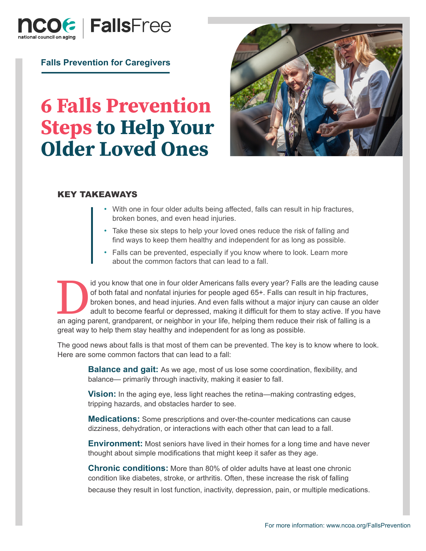

**Falls Prevention for Caregivers**

# **6 Falls Prevention Steps to Help Your Older Loved Ones**



#### KEY TAKEAWAYS

- With one in four older adults being affected, falls can result in hip fractures, broken bones, and even head injuries.
- Take these six steps to help your loved ones reduce the risk of falling and find ways to keep them healthy and independent for as long as possible.
- Falls can be prevented, especially if you know where to look. Learn more about the common factors that can lead to a fall.

I also we know that one in four older Americans falls every year? Falls are the leading cause<br>
of both fatal and nonfatal injuries for people aged 65+. Falls can result in hip fractures,<br>
broken bones, and head injuries. A of both fatal and nonfatal injuries for people aged 65+. Falls can result in hip fractures, broken bones, and head injuries. And even falls without a major injury can cause an older adult to become fearful or depressed, making it difficult for them to stay active. If you have great way to help them stay healthy and independent for as long as possible.

The good news about falls is that most of them can be prevented. The key is to know where to look. Here are some common factors that can lead to a fall:

**Balance and gait:** As we age, most of us lose some coordination, flexibility, and balance— primarily through inactivity, making it easier to fall.

**Vision:** In the aging eye, less light reaches the retina—making contrasting edges, tripping hazards, and obstacles harder to see.

**Medications:** Some prescriptions and over-the-counter medications can cause dizziness, dehydration, or interactions with each other that can lead to a fall.

**Environment:** Most seniors have lived in their homes for a long time and have never thought about simple modifications that might keep it safer as they age.

**Chronic conditions:** More than 80% of older adults have at least one chronic condition like diabetes, stroke, or arthritis. Often, these increase the risk of falling because they result in lost function, inactivity, depression, pain, or multiple medications.